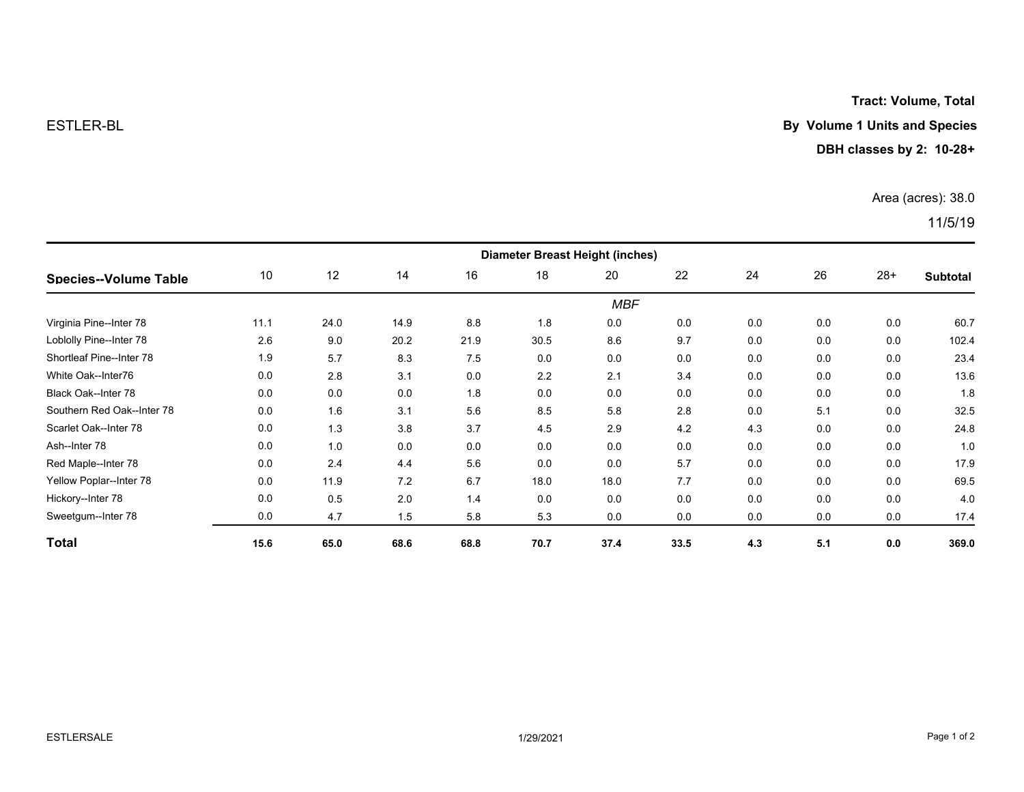**Tract: Volume, Total**

## ESTLER-BL **By Volume 1 Units and Species**

**DBH classes by 2: 10-28+**

Area (acres): 38.0

11/5/19

| <b>Species--Volume Table</b> | <b>Diameter Breast Height (inches)</b> |      |      |      |      |      |      |     |     |       |                 |  |
|------------------------------|----------------------------------------|------|------|------|------|------|------|-----|-----|-------|-----------------|--|
|                              | 10                                     | 12   | 14   | 16   | 18   | 20   | 22   | 24  | 26  | $28+$ | <b>Subtotal</b> |  |
|                              | <b>MBF</b>                             |      |      |      |      |      |      |     |     |       |                 |  |
| Virginia Pine--Inter 78      | 11.1                                   | 24.0 | 14.9 | 8.8  | 1.8  | 0.0  | 0.0  | 0.0 | 0.0 | 0.0   | 60.7            |  |
| Loblolly Pine--Inter 78      | 2.6                                    | 9.0  | 20.2 | 21.9 | 30.5 | 8.6  | 9.7  | 0.0 | 0.0 | 0.0   | 102.4           |  |
| Shortleaf Pine--Inter 78     | 1.9                                    | 5.7  | 8.3  | 7.5  | 0.0  | 0.0  | 0.0  | 0.0 | 0.0 | 0.0   | 23.4            |  |
| White Oak--Inter76           | 0.0                                    | 2.8  | 3.1  | 0.0  | 2.2  | 2.1  | 3.4  | 0.0 | 0.0 | 0.0   | 13.6            |  |
| Black Oak--Inter 78          | 0.0                                    | 0.0  | 0.0  | 1.8  | 0.0  | 0.0  | 0.0  | 0.0 | 0.0 | 0.0   | 1.8             |  |
| Southern Red Oak--Inter 78   | 0.0                                    | 1.6  | 3.1  | 5.6  | 8.5  | 5.8  | 2.8  | 0.0 | 5.1 | 0.0   | 32.5            |  |
| Scarlet Oak--Inter 78        | 0.0                                    | 1.3  | 3.8  | 3.7  | 4.5  | 2.9  | 4.2  | 4.3 | 0.0 | 0.0   | 24.8            |  |
| Ash--Inter 78                | 0.0                                    | 1.0  | 0.0  | 0.0  | 0.0  | 0.0  | 0.0  | 0.0 | 0.0 | 0.0   | 1.0             |  |
| Red Maple--Inter 78          | 0.0                                    | 2.4  | 4.4  | 5.6  | 0.0  | 0.0  | 5.7  | 0.0 | 0.0 | 0.0   | 17.9            |  |
| Yellow Poplar--Inter 78      | 0.0                                    | 11.9 | 7.2  | 6.7  | 18.0 | 18.0 | 7.7  | 0.0 | 0.0 | 0.0   | 69.5            |  |
| Hickory--Inter 78            | 0.0                                    | 0.5  | 2.0  | 1.4  | 0.0  | 0.0  | 0.0  | 0.0 | 0.0 | 0.0   | 4.0             |  |
| Sweetgum--Inter 78           | 0.0                                    | 4.7  | 1.5  | 5.8  | 5.3  | 0.0  | 0.0  | 0.0 | 0.0 | 0.0   | 17.4            |  |
| Total                        | 15.6                                   | 65.0 | 68.6 | 68.8 | 70.7 | 37.4 | 33.5 | 4.3 | 5.1 | 0.0   | 369.0           |  |